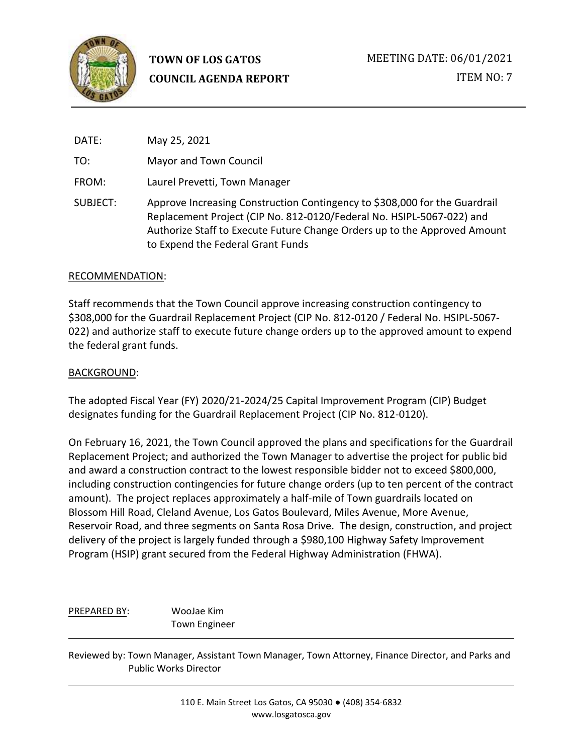

DATE: May 25, 2021

TO: Mayor and Town Council

FROM: Laurel Prevetti, Town Manager

SUBJECT: Approve Increasing Construction Contingency to \$308,000 for the Guardrail Replacement Project (CIP No. 812-0120/Federal No. HSIPL-5067-022) and Authorize Staff to Execute Future Change Orders up to the Approved Amount to Expend the Federal Grant Funds

### RECOMMENDATION:

Staff recommends that the Town Council approve increasing construction contingency to \$308,000 for the Guardrail Replacement Project (CIP No. 812-0120 / Federal No. HSIPL-5067- 022) and authorize staff to execute future change orders up to the approved amount to expend the federal grant funds.

### BACKGROUND:

The adopted Fiscal Year (FY) 2020/21-2024/25 Capital Improvement Program (CIP) Budget designates funding for the Guardrail Replacement Project (CIP No. 812-0120).

On February 16, 2021, the Town Council approved the plans and specifications for the Guardrail Replacement Project; and authorized the Town Manager to advertise the project for public bid and award a construction contract to the lowest responsible bidder not to exceed \$800,000, including construction contingencies for future change orders (up to ten percent of the contract amount). The project replaces approximately a half-mile of Town guardrails located on Blossom Hill Road, Cleland Avenue, Los Gatos Boulevard, Miles Avenue, More Avenue, Reservoir Road, and three segments on Santa Rosa Drive. The design, construction, and project delivery of the project is largely funded through a \$980,100 Highway Safety Improvement Program (HSIP) grant secured from the Federal Highway Administration (FHWA).

PREPARED BY: WooJae Kim Town Engineer

Reviewed by: Town Manager, Assistant Town Manager, Town Attorney, Finance Director, and Parks and Public Works Director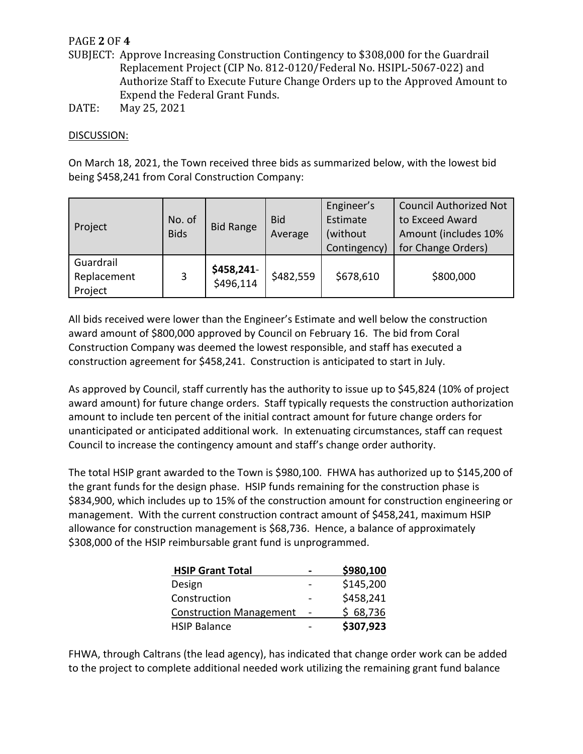# PAGE **2** OF **4**

- SUBJECT: Approve Increasing Construction Contingency to \$308,000 for the Guardrail Replacement Project (CIP No. 812-0120/Federal No. HSIPL-5067-022) and Authorize Staff to Execute Future Change Orders up to the Approved Amount to Expend the Federal Grant Funds.
- DATE: May 25, 2021

### DISCUSSION:

On March 18, 2021, the Town received three bids as summarized below, with the lowest bid being \$458,241 from Coral Construction Company:

| Project                             | No. of<br><b>Bids</b> | <b>Bid Range</b>        | <b>Bid</b><br>Average | Engineer's<br>Estimate<br>(without)<br>Contingency) | <b>Council Authorized Not</b><br>to Exceed Award<br>Amount (includes 10%<br>for Change Orders) |
|-------------------------------------|-----------------------|-------------------------|-----------------------|-----------------------------------------------------|------------------------------------------------------------------------------------------------|
| Guardrail<br>Replacement<br>Project | 3                     | \$458,241-<br>\$496,114 | \$482,559             | \$678,610                                           | \$800,000                                                                                      |

All bids received were lower than the Engineer's Estimate and well below the construction award amount of \$800,000 approved by Council on February 16. The bid from Coral Construction Company was deemed the lowest responsible, and staff has executed a construction agreement for \$458,241. Construction is anticipated to start in July.

As approved by Council, staff currently has the authority to issue up to \$45,824 (10% of project award amount) for future change orders. Staff typically requests the construction authorization amount to include ten percent of the initial contract amount for future change orders for unanticipated or anticipated additional work. In extenuating circumstances, staff can request Council to increase the contingency amount and staff's change order authority.

The total HSIP grant awarded to the Town is \$980,100. FHWA has authorized up to \$145,200 of the grant funds for the design phase. HSIP funds remaining for the construction phase is \$834,900, which includes up to 15% of the construction amount for construction engineering or management. With the current construction contract amount of \$458,241, maximum HSIP allowance for construction management is \$68,736. Hence, a balance of approximately \$308,000 of the HSIP reimbursable grant fund is unprogrammed.

| <b>HSIP Grant Total</b>        | \$980,100 |
|--------------------------------|-----------|
| Design                         | \$145,200 |
| Construction                   | \$458,241 |
| <b>Construction Management</b> | \$68,736  |
| <b>HSIP Balance</b>            | \$307,923 |

FHWA, through Caltrans (the lead agency), has indicated that change order work can be added to the project to complete additional needed work utilizing the remaining grant fund balance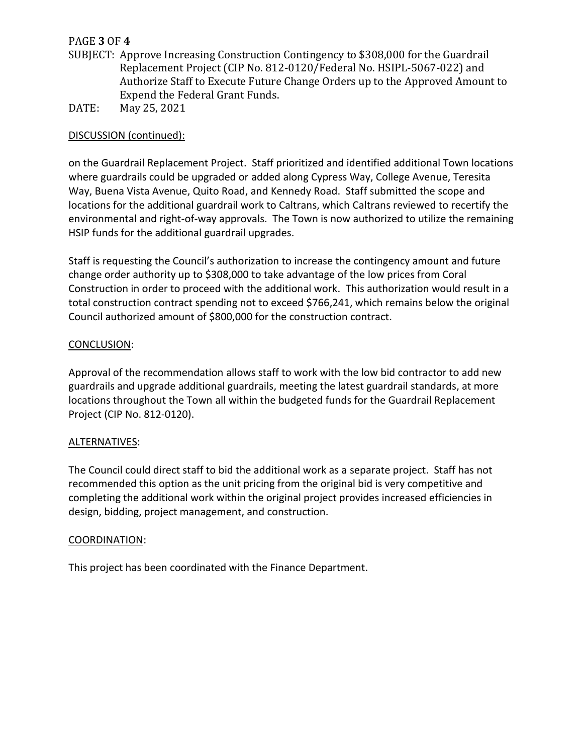# PAGE **3** OF **4**

- SUBJECT: Approve Increasing Construction Contingency to \$308,000 for the Guardrail Replacement Project (CIP No. 812-0120/Federal No. HSIPL-5067-022) and Authorize Staff to Execute Future Change Orders up to the Approved Amount to Expend the Federal Grant Funds.
- DATE: May 25, 2021

## DISCUSSION (continued):

on the Guardrail Replacement Project. Staff prioritized and identified additional Town locations where guardrails could be upgraded or added along Cypress Way, College Avenue, Teresita Way, Buena Vista Avenue, Quito Road, and Kennedy Road. Staff submitted the scope and locations for the additional guardrail work to Caltrans, which Caltrans reviewed to recertify the environmental and right-of-way approvals. The Town is now authorized to utilize the remaining HSIP funds for the additional guardrail upgrades.

Staff is requesting the Council's authorization to increase the contingency amount and future change order authority up to \$308,000 to take advantage of the low prices from Coral Construction in order to proceed with the additional work. This authorization would result in a total construction contract spending not to exceed \$766,241, which remains below the original Council authorized amount of \$800,000 for the construction contract.

### CONCLUSION:

Approval of the recommendation allows staff to work with the low bid contractor to add new guardrails and upgrade additional guardrails, meeting the latest guardrail standards, at more locations throughout the Town all within the budgeted funds for the Guardrail Replacement Project (CIP No. 812-0120).

## ALTERNATIVES:

The Council could direct staff to bid the additional work as a separate project. Staff has not recommended this option as the unit pricing from the original bid is very competitive and completing the additional work within the original project provides increased efficiencies in design, bidding, project management, and construction.

#### COORDINATION:

This project has been coordinated with the Finance Department.